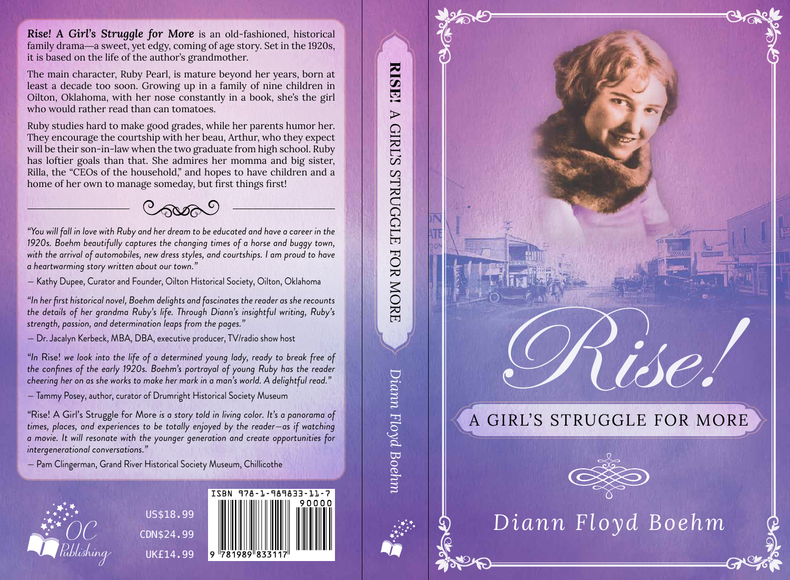*Rise! A Girl's Struggle for More* is an old-fashioned, historical family drama—a sweet, yet edgy, coming of age story. Set in the 1920s, it is based on the life of the author's grandmother.

The main character, Ruby Pearl, is mature beyond her years, born at least a decade too soon. Growing up in a family of nine children in Oilton, Oklahoma, with her nose constantly in a book, she's the girl who would rather read than can tomatoes.

Ruby studies hard to make good grades, while her parents humor her. They encourage the courtship with her beau, Arthur, who they expect will be their son-in-law when the two graduate from high school. Ruby has loftier goals than that. She admires her momma and big sister, Rilla, the "CEOs of the household," and hopes to have children and a home of her own to manage someday, but first things first!



*"You will fall in love with Ruby and her dream to be educated and have a career in the 1920s. Boehm beautifully captures the changing times of a horse and buggy town, with the arrival of automobiles, new dress styles, and courtships. I am proud to have a heartwarming story written about our town."*

— Kathy Dupee, Curator and Founder, Oilton Historical Society, Oilton, Oklahoma

*"In her first historical novel, Boehm delights and fascinates the reader as she recounts the details of her grandma Ruby's life. Through Diann's insightful writing, Ruby's strength, passion, and determination leaps from the pages."* 

— Dr. Jacalyn Kerbeck, MBA, DBA, executive producer, TV/radio show host

*"In* Rise! *we look into the life of a determined young lady, ready to break free of the confines of the early 1920s. Boehm's portrayal of young Ruby has the reader cheering her on as she works to make her mark in a man's world. A delightful read."*

— Tammy Posey, author, curator of Drumright Historical Society Museum

*"*Rise! A Girl's Struggle for More *is a story told in living color. It's a panorama of times, places, and experiences to be totally enjoyed by the reader—as if watching a movie. It will resonate with the younger generation and create opportunities for intergenerational conversations."* 

— Pam Clingerman, Grand River Historical Society Museum, Chillicothe



US\$18.99 CDN\$24.99 UK£14.99



RISE!

 $\triangleright$ 

**GIRL'S** 

A GIRL'S STRUGGLE FOR MORE

**FOR** 

MORE

**STRUGGLE** 

*Diann Floyd Boehm*

Diann Floyd Boehm



## A GIRL'S STRUGGLE FOR MORE



*Diann Floyd Boehm*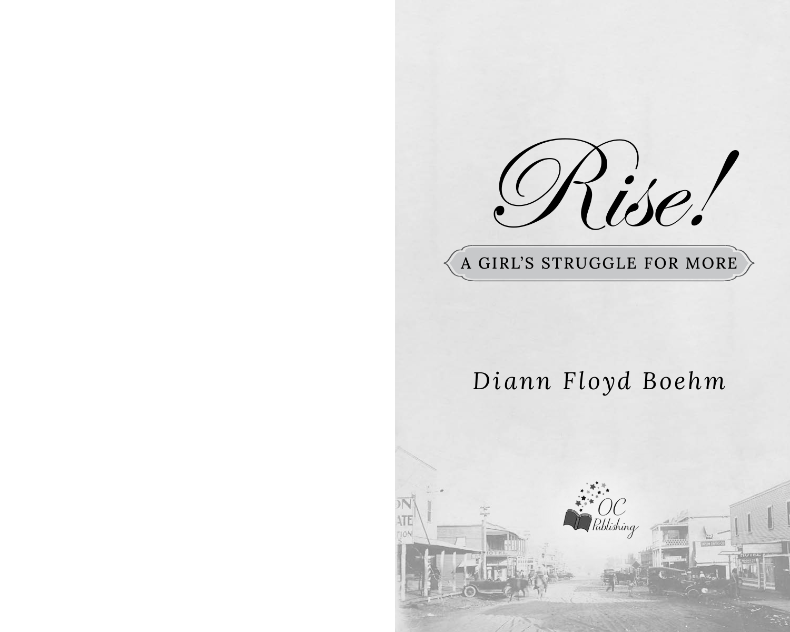

A GIRL'S STRUGGLE FOR MORE

# *Diann Floyd Boehm*

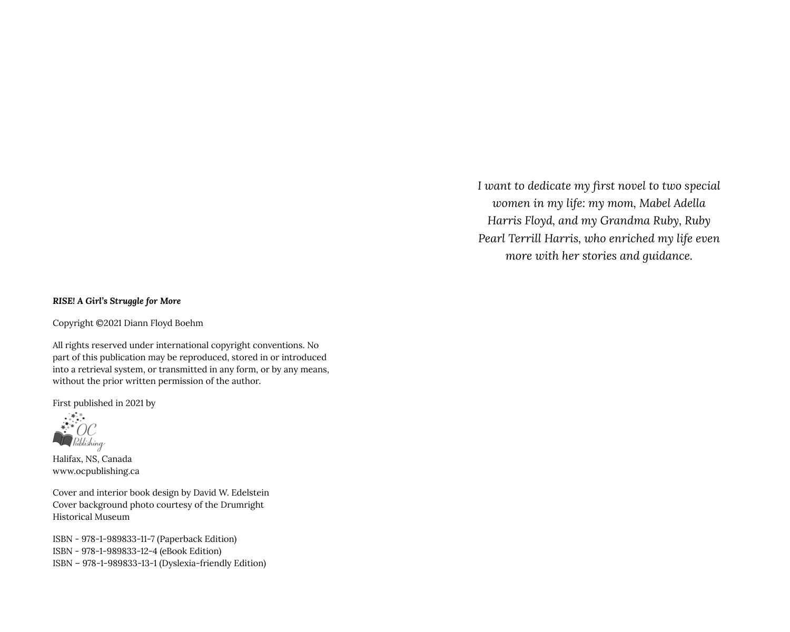*I want to dedicate my first novel to two special women in my life: my mom, Mabel Adella Harris Floyd, and my Grandma Ruby, Ruby Pearl Terrill Harris, who enriched my life even more with her stories and guidance.*

#### *RISE! A Girl's Struggle for More*

Copyright ©2021 Diann Floyd Boehm

All rights reserved under international copyright conventions. No part of this publication may be reproduced, stored in or introduced into a retrieval system, or transmitted in any form, or by any means, without the prior written permission of the author.

First published in 2021 by

 $\stackrel{***}{\smile}OC$ Riblishing

Halifax, NS, Canada www.ocpublishing.ca

Cover and interior book design by David W. Edelstein Cover background photo courtesy of the Drumright Historical Museum

ISBN - 978-1-989833-11-7 (Paperback Edition) ISBN - 978-1-989833-12-4 (eBook Edition) ISBN – 978-1-989833-13-1 (Dyslexia-friendly Edition)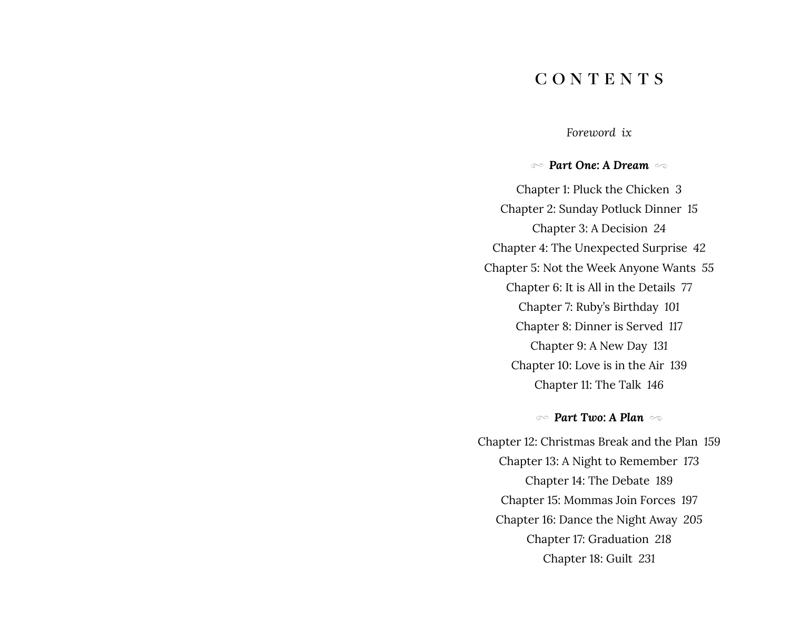### **CONTENTS**

### *[Foreword ix](#page-4-0)*

#### *[Part One: A Dream](#page-6-0)*

[Chapter 1: Pluck the Chicken](#page-7-0) *3* [Chapter 2: Sunday Potluck Dinner](#page--1-0) *15* [Chapter 3: A Decision](#page--1-0) *24* [Chapter 4: The Unexpected Surprise](#page--1-0) *42* [Chapter 5: Not the Week Anyone Wants](#page--1-0) *55* [Chapter 6: It is All in the Details](#page--1-0) *77* [Chapter 7: Ruby's Birthday](#page--1-0) *101* [Chapter 8: Dinner is Served](#page--1-0) *117* [Chapter 9: A New Day](#page--1-0) *131* [Chapter 10: Love is in the Air](#page--1-0) *139* [Chapter 11: The Talk](#page--1-0) *146*

 *[Part Two: A Plan](#page--1-0)* 

[Chapter 12: Christmas Break and the Plan](#page--1-0) *159* [Chapter 13: A Night to Remember](#page--1-0) *173* [Chapter 14: The Debate](#page--1-0) *189* [Chapter 15: Mommas Join Forces](#page--1-0) *197* [Chapter 16: Dance the Night Away](#page--1-0) *205* [Chapter 17: Graduation](#page--1-0) *218* [Chapter 18: Guilt](#page--1-0) *231*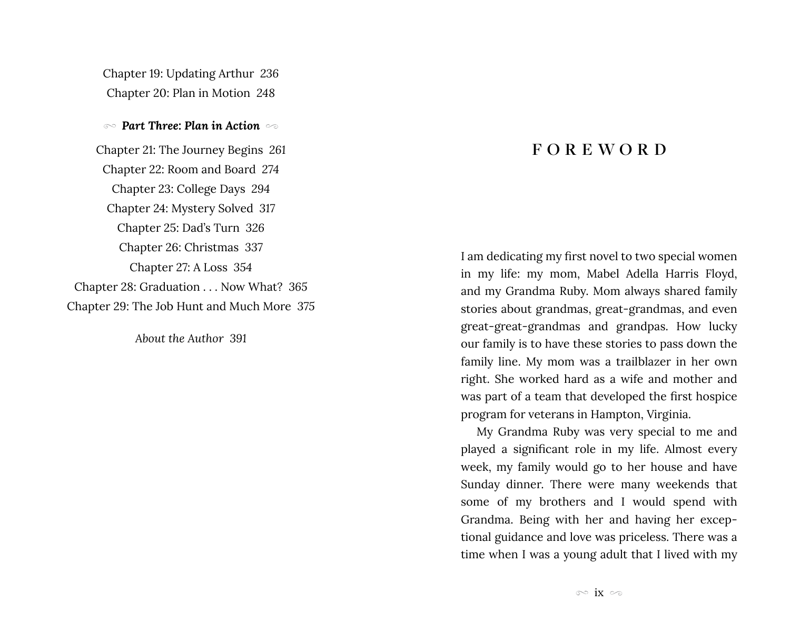<span id="page-4-0"></span>[Chapter 19: Updating Arthur](#page--1-0) *236* [Chapter 20: Plan in Motion](#page--1-0) *248*

 *[Part Three: Plan in Action](#page--1-0)* 

[Chapter 21: The Journey Begins](#page--1-0) *261* [Chapter 22: Room and Board](#page--1-0) *274* [Chapter 23: College Days](#page--1-0) *294* [Chapter 24: Mystery Solved](#page--1-0) *317* [Chapter 25: Dad's Turn](#page--1-0) *326* [Chapter 26: Christmas](#page--1-0) *337* [Chapter 27: A Loss](#page--1-0) *354* [Chapter 28: Graduation . . . Now What?](#page--1-0) *365* [Chapter 29: The Job Hunt and Much More](#page--1-0) *375*

*[About the Author 391](#page--1-0)*

### **FOREWORD**

I am dedicating my first novel to two special women in my life: my mom, Mabel Adella Harris Floyd, and my Grandma Ruby. Mom always shared family stories about grandmas, great-grandmas, and even great-great-grandmas and grandpas. How lucky our family is to have these stories to pass down the family line. My mom was a trailblazer in her own right. She worked hard as a wife and mother and was part of a team that developed the first hospice program for veterans in Hampton, Virginia.

My Grandma Ruby was very special to me and played a significant role in my life. Almost every week, my family would go to her house and have Sunday dinner. There were many weekends that some of my brothers and I would spend with Grandma. Being with her and having her exceptional guidance and love was priceless. There was a time when I was a young adult that I lived with my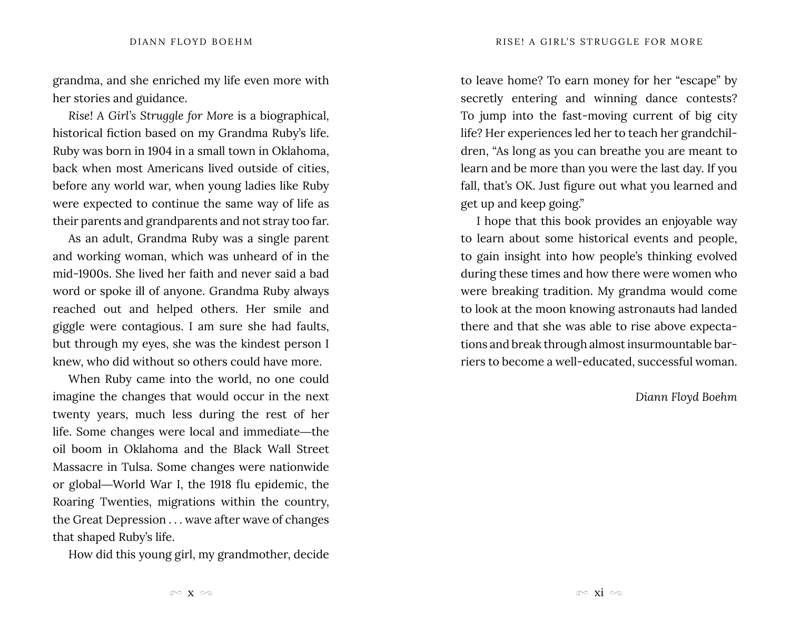grandma, and she enriched my life even more with her stories and guidance.

*Rise! A Girl's Struggle for More* is a biographical, historical fiction based on my Grandma Ruby's life. Ruby was born in 1904 in a small town in Oklahoma, back when most Americans lived outside of cities, before any world war, when young ladies like Ruby were expected to continue the same way of life as their parents and grandparents and not stray too far.

As an adult, Grandma Ruby was a single parent and working woman, which was unheard of in the mid-1900s. She lived her faith and never said a bad word or spoke ill of anyone. Grandma Ruby always reached out and helped others. Her smile and giggle were contagious. I am sure she had faults, but through my eyes, she was the kindest person I knew, who did without so others could have more.

When Ruby came into the world, no one could imagine the changes that would occur in the next twenty years, much less during the rest of her life. Some changes were local and immediate—the oil boom in Oklahoma and the Black Wall Street Massacre in Tulsa. Some changes were nationwide or global—World War I, the 1918 flu epidemic, the Roaring Twenties, migrations within the country, the Great Depression . . . wave after wave of changes that shaped Ruby's life.

How did this young girl, my grandmother, decide

to leave home? To earn money for her "escape" by secretly entering and winning dance contests? To jump into the fast-moving current of big city life? Her experiences led her to teach her grandchildren, "As long as you can breathe you are meant to learn and be more than you were the last day. If you fall, that's OK. Just figure out what you learned and get up and keep going."

I hope that this book provides an enjoyable way to learn about some historical events and people, to gain insight into how people's thinking evolved during these times and how there were women who were breaking tradition. My grandma would come to look at the moon knowing astronauts had landed there and that she was able to rise above expectations and break through almost insurmountable barriers to become a well-educated, successful woman.

*Diann Floyd Boehm*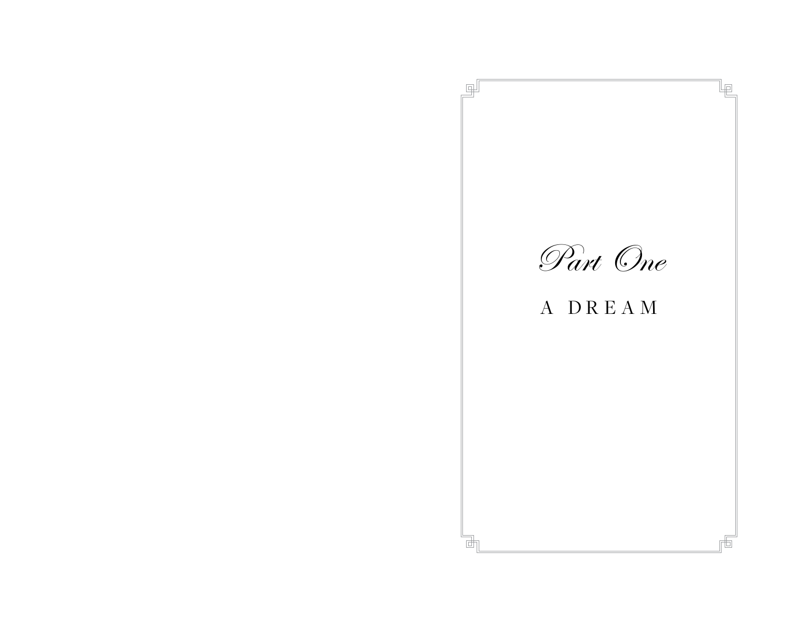<span id="page-6-0"></span>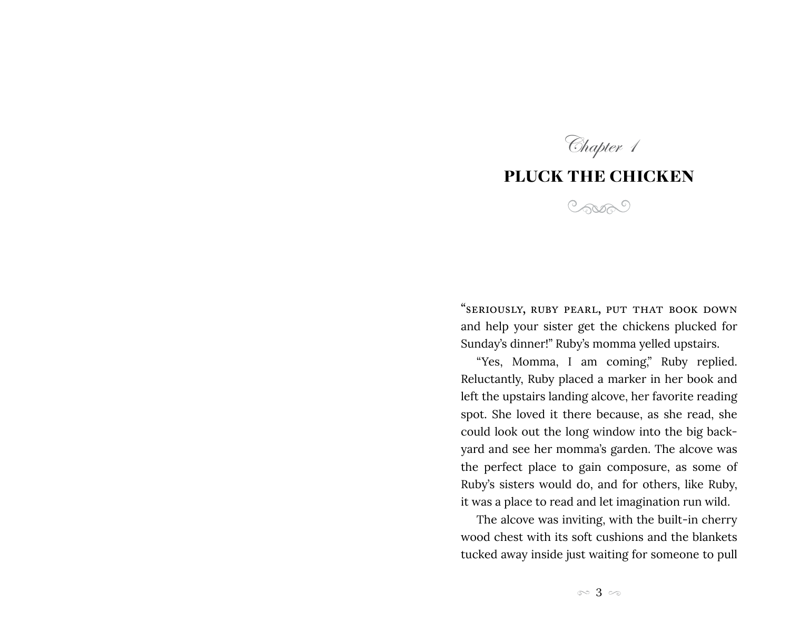Chapter 1

### <span id="page-7-0"></span>PLUCK THE CHICKEN

Cara

"Seriously, Ruby Pearl, put that book down and help your sister get the chickens plucked for Sunday's dinner!" Ruby's momma yelled upstairs.

"Yes, Momma, I am coming," Ruby replied. Reluctantly, Ruby placed a marker in her book and left the upstairs landing alcove, her favorite reading spot. She loved it there because, as she read, she could look out the long window into the big backyard and see her momma's garden. The alcove was the perfect place to gain composure, as some of Ruby's sisters would do, and for others, like Ruby, it was a place to read and let imagination run wild.

The alcove was inviting, with the built-in cherry wood chest with its soft cushions and the blankets tucked away inside just waiting for someone to pull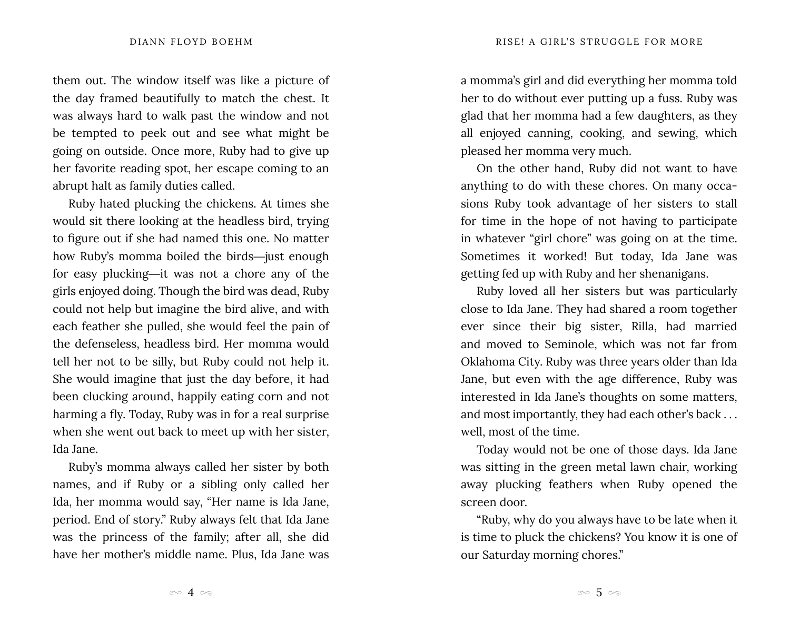them out. The window itself was like a picture of the day framed beautifully to match the chest. It was always hard to walk past the window and not be tempted to peek out and see what might be going on outside. Once more, Ruby had to give up her favorite reading spot, her escape coming to an abrupt halt as family duties called.

Ruby hated plucking the chickens. At times she would sit there looking at the headless bird, trying to figure out if she had named this one. No matter how Ruby's momma boiled the birds—just enough for easy plucking—it was not a chore any of the girls enjoyed doing. Though the bird was dead, Ruby could not help but imagine the bird alive, and with each feather she pulled, she would feel the pain of the defenseless, headless bird. Her momma would tell her not to be silly, but Ruby could not help it. She would imagine that just the day before, it had been clucking around, happily eating corn and not harming a fly. Today, Ruby was in for a real surprise when she went out back to meet up with her sister, Ida Jane.

Ruby's momma always called her sister by both names, and if Ruby or a sibling only called her Ida, her momma would say, "Her name is Ida Jane, period. End of story." Ruby always felt that Ida Jane was the princess of the family; after all, she did have her mother's middle name. Plus, Ida Jane was

a momma's girl and did everything her momma told her to do without ever putting up a fuss. Ruby was glad that her momma had a few daughters, as they all enjoyed canning, cooking, and sewing, which pleased her momma very much.

On the other hand, Ruby did not want to have anything to do with these chores. On many occasions Ruby took advantage of her sisters to stall for time in the hope of not having to participate in whatever "girl chore" was going on at the time. Sometimes it worked! But today, Ida Jane was getting fed up with Ruby and her shenanigans.

Ruby loved all her sisters but was particularly close to Ida Jane. They had shared a room together ever since their big sister, Rilla, had married and moved to Seminole, which was not far from Oklahoma City. Ruby was three years older than Ida Jane, but even with the age difference, Ruby was interested in Ida Jane's thoughts on some matters, and most importantly, they had each other's back . . . well, most of the time.

Today would not be one of those days. Ida Jane was sitting in the green metal lawn chair, working away plucking feathers when Ruby opened the screen door.

"Ruby, why do you always have to be late when it is time to pluck the chickens? You know it is one of our Saturday morning chores."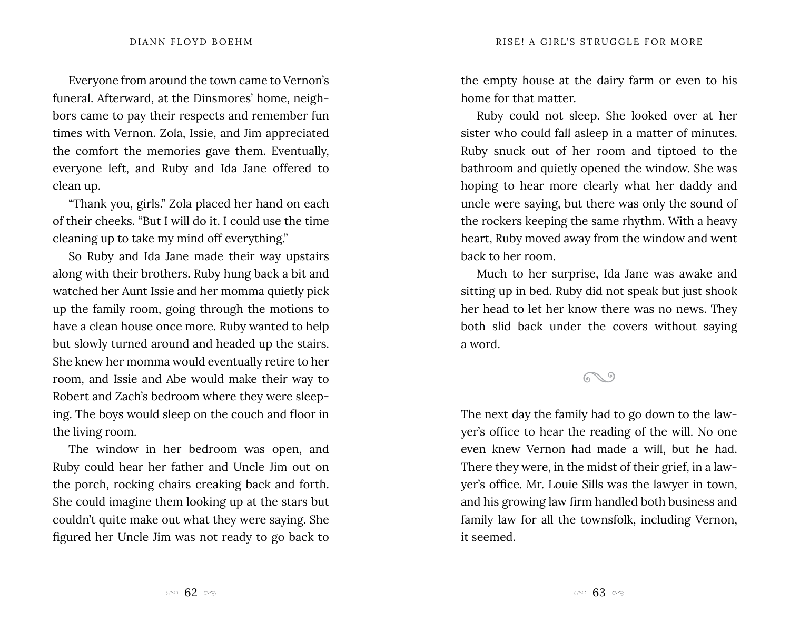Everyone from around the town came to Vernon's funeral. Afterward, at the Dinsmores' home, neighbors came to pay their respects and remember fun times with Vernon. Zola, Issie, and Jim appreciated the comfort the memories gave them. Eventually, everyone left, and Ruby and Ida Jane offered to clean up.

"Thank you, girls." Zola placed her hand on each of their cheeks. "But I will do it. I could use the time cleaning up to take my mind off everything."

So Ruby and Ida Jane made their way upstairs along with their brothers. Ruby hung back a bit and watched her Aunt Issie and her momma quietly pick up the family room, going through the motions to have a clean house once more. Ruby wanted to help but slowly turned around and headed up the stairs. She knew her momma would eventually retire to her room, and Issie and Abe would make their way to Robert and Zach's bedroom where they were sleeping. The boys would sleep on the couch and floor in the living room.

The window in her bedroom was open, and Ruby could hear her father and Uncle Jim out on the porch, rocking chairs creaking back and forth. She could imagine them looking up at the stars but couldn't quite make out what they were saying. She figured her Uncle Jim was not ready to go back to

the empty house at the dairy farm or even to his home for that matter.

Ruby could not sleep. She looked over at her sister who could fall asleep in a matter of minutes. Ruby snuck out of her room and tiptoed to the bathroom and quietly opened the window. She was hoping to hear more clearly what her daddy and uncle were saying, but there was only the sound of the rockers keeping the same rhythm. With a heavy heart, Ruby moved away from the window and went back to her room.

Much to her surprise, Ida Jane was awake and sitting up in bed. Ruby did not speak but just shook her head to let her know there was no news. They both slid back under the covers without saying a word.

> $\mathbb{C}^g$ 6

The next day the family had to go down to the lawyer's office to hear the reading of the will. No one even knew Vernon had made a will, but he had. There they were, in the midst of their grief, in a lawyer's office. Mr. Louie Sills was the lawyer in town, and his growing law firm handled both business and family law for all the townsfolk, including Vernon, it seemed.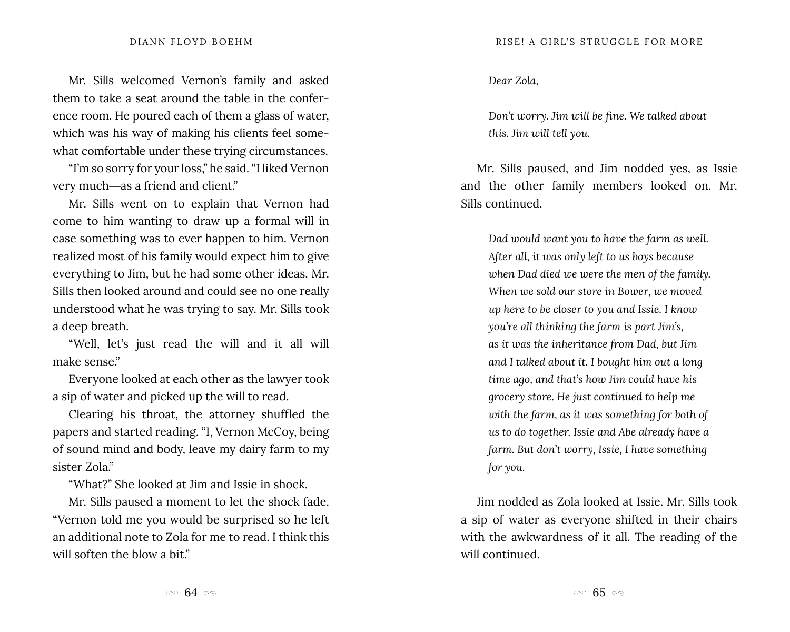Mr. Sills welcomed Vernon's family and asked them to take a seat around the table in the conference room. He poured each of them a glass of water, which was his way of making his clients feel somewhat comfortable under these trying circumstances.

"I'm so sorry for your loss," he said. "I liked Vernon very much—as a friend and client."

Mr. Sills went on to explain that Vernon had come to him wanting to draw up a formal will in case something was to ever happen to him. Vernon realized most of his family would expect him to give everything to Jim, but he had some other ideas. Mr. Sills then looked around and could see no one really understood what he was trying to say. Mr. Sills took a deep breath.

"Well, let's just read the will and it all will make sense."

Everyone looked at each other as the lawyer took a sip of water and picked up the will to read.

Clearing his throat, the attorney shuffled the papers and started reading. "I, Vernon McCoy, being of sound mind and body, leave my dairy farm to my sister Zola."

"What?" She looked at Jim and Issie in shock.

Mr. Sills paused a moment to let the shock fade. "Vernon told me you would be surprised so he left an additional note to Zola for me to read. I think this will soften the blow a bit."

*Dear Zola,*

*Don't worry. Jim will be fine. We talked about this. Jim will tell you.*

Mr. Sills paused, and Jim nodded yes, as Issie and the other family members looked on. Mr. Sills continued.

*Dad would want you to have the farm as well. After all, it was only left to us boys because when Dad died we were the men of the family. When we sold our store in Bower, we moved up here to be closer to you and Issie. I know you're all thinking the farm is part Jim's, as it was the inheritance from Dad, but Jim and I talked about it. I bought him out a long time ago, and that's how Jim could have his grocery store. He just continued to help me with the farm, as it was something for both of us to do together. Issie and Abe already have a farm. But don't worry, Issie, I have something for you.*

Jim nodded as Zola looked at Issie. Mr. Sills took a sip of water as everyone shifted in their chairs with the awkwardness of it all. The reading of the will continued.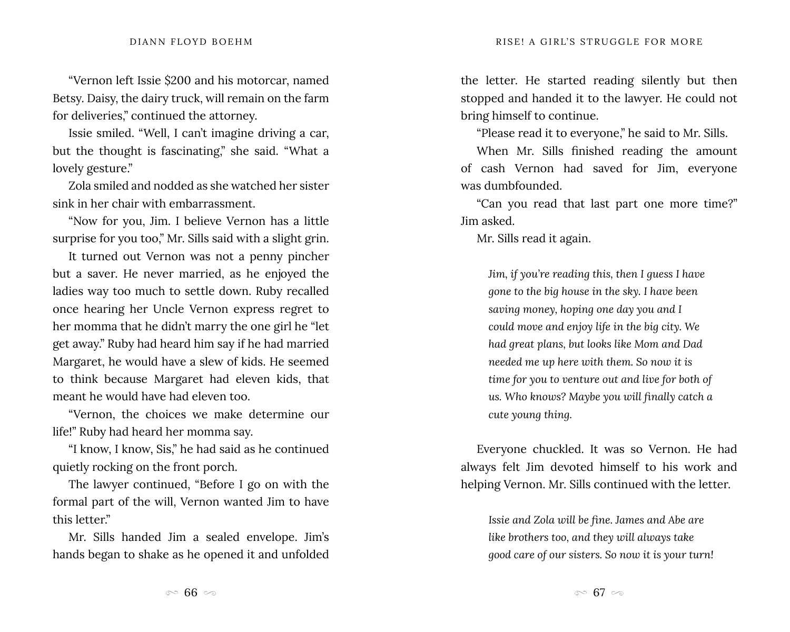"Vernon left Issie \$200 and his motorcar, named Betsy. Daisy, the dairy truck, will remain on the farm for deliveries," continued the attorney.

Issie smiled. "Well, I can't imagine driving a car, but the thought is fascinating," she said. "What a lovely gesture."

Zola smiled and nodded as she watched her sister sink in her chair with embarrassment.

"Now for you, Jim. I believe Vernon has a little surprise for you too," Mr. Sills said with a slight grin.

It turned out Vernon was not a penny pincher but a saver. He never married, as he enjoyed the ladies way too much to settle down. Ruby recalled once hearing her Uncle Vernon express regret to her momma that he didn't marry the one girl he "let get away." Ruby had heard him say if he had married Margaret, he would have a slew of kids. He seemed to think because Margaret had eleven kids, that meant he would have had eleven too.

"Vernon, the choices we make determine our life!" Ruby had heard her momma say.

"I know, I know, Sis," he had said as he continued quietly rocking on the front porch.

The lawyer continued, "Before I go on with the formal part of the will, Vernon wanted Jim to have this letter."

Mr. Sills handed Jim a sealed envelope. Jim's hands began to shake as he opened it and unfolded the letter. He started reading silently but then stopped and handed it to the lawyer. He could not bring himself to continue.

"Please read it to everyone," he said to Mr. Sills.

When Mr. Sills finished reading the amount of cash Vernon had saved for Jim, everyone was dumbfounded.

"Can you read that last part one more time?" Jim asked.

Mr. Sills read it again.

*Jim, if you're reading this, then I guess I have gone to the big house in the sky. I have been saving money, hoping one day you and I could move and enjoy life in the big city. We had great plans, but looks like Mom and Dad needed me up here with them. So now it is time for you to venture out and live for both of us. Who knows? Maybe you will finally catch a cute young thing.*

Everyone chuckled. It was so Vernon. He had always felt Jim devoted himself to his work and helping Vernon. Mr. Sills continued with the letter.

*Issie and Zola will be fine. James and Abe are like brothers too, and they will always take good care of our sisters. So now it is your turn!*